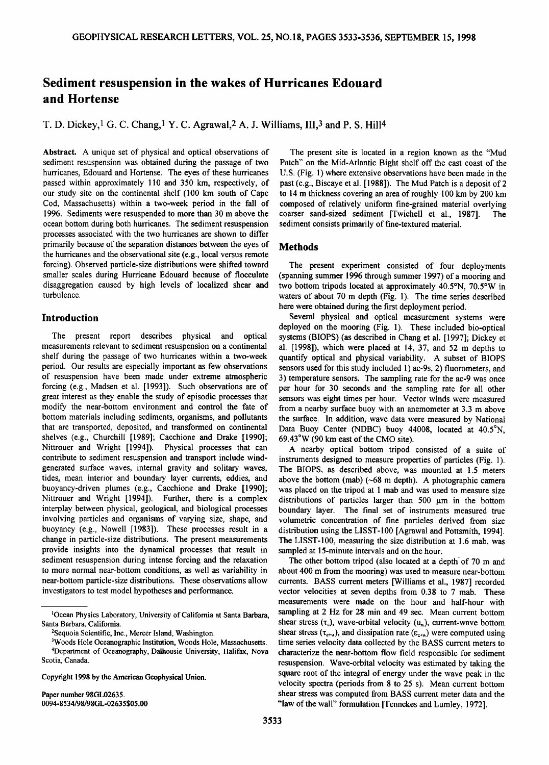# **Sediment resuspension in the wakes of Hurricanes Edouard and Hortense**

**T. D. Dickey,• G. C. Chang,• Y. C. Agrawal,2 A. J. Williams, III,3 and P.S. Hill4** 

**Abstract. A unique set of physical and optical observations of sediment resuspension was obtained during the passage of two hurricanes, Edouard and Hortense. The eyes of these hurricanes passed within approximately 110 and 350 km, respectively, of our study site on the continental shelf (100 km south of Cape Cod, Massachusetts) within a two-week period in the fall of 1996. Sediments were resuspended to more than 30 m above the ocean bottom during both hurricanes. The sediment resuspension processes associated with the two hurricanes are shown to differ primarily because of the separation distances between the eyes of the hurricanes and the observational site (e.g., local versus remote forcing). Observed particle-size distributions were shifted toward smaller scales during Hurricane Edouard because of flocculate disaggregation caused by high levels of localized shear and turbulence.** 

### **Introduction**

**The present report describes physical and optical measurements relevant to sediment resuspension on a continental shelf during the passage of two hurricanes within a two-week period. Our results are especially important as few observations of resuspension have been made under extreme atmospheric forcing (e.g., Madsen et al. [1993]). Such observations are of great interest as they enable the study of episodic processes that modify the near-bottom environment and control the fate of bottom materials including sediments, organisms, and pollutants that are transported, deposited, and transformed on continental shelves (e.g., Churchill [1989]; Cacchione and Drake [1990]; Nittrouer and Wright [1994]). Physical processes that can contribute to sediment resuspension and transport include windgenerated surface waves, internal gravity and solitary waves, tides, mean interior and boundary layer currents, eddies, and buoyancy-driven plumes (e.g., Cacchione and Drake [1990]; Nittrouer and Wright [1994]). Further, there is a complex interplay between physical, geological, and biological processes involving particles and organisms of varying size, shape, and buoyancy (e.g., Nowell [1983]). These processes result in a change in particle-size distributions. The present measurements provide insights into the dynamical processes that result in sediment resuspension during intense forcing and the relaxation to more normal near-bottom conditions, as well as variability in near-bottom particle-size distributions. These observations allow investigators to test model hypotheses and performance.** 

**Copyright 1998 by the American Geophysical Union.** 

**Paper number 98GL02635. 0094-8534/98/98GL-02635505.00** 

**The present site is located in a region known as the "Mud Patch" on the Mid-Atlantic Bight shelf off the east coast of the U.S. (Fig. 1) where extensive observations have been made in the past (e.g., Biscaye et al. [1988]). The Mud Patch is a deposit of 2 to 14 m thickness covering an area of roughly 100 km by 200 km composed of relatively uniform fine-grained material overlying**  coarser sand-sized sediment [Twichell et al., 1987]. **sediment consists primarily of fine-textured material.** 

## **Methods**

**The present experiment consisted of four deployments (spanning summer 1996 through summer 1997) of a mooring and**  two bottom tripods located at approximately 40.5°N, 70.5°W in **waters of about 70 m depth (Fig. 1). The time series described**  here were obtained during the first deployment period.

**Several physical and optical measurement systems were deployed on the mooring (Fig. 1). These included bio-optical systems (BIOPS) (as described in Chang et al. [1997]; Dickey et al. [1998]), which were placed at 14, 37, and 52 rn depths to quantify optical and physical variability. A subset of BIOPS sensors used for this study included 1) ac-9s, 2) fluorometers, and 3) temperature sensors. The sampling rate for the ac-9 was once per hour for 30 seconds and the sampling rate for all other sensors was eight times per hour. Vector winds were measured from a nearby surface buoy with an anemometer at 3.3 m above the surface. In addition, wave data were measured by National**  Data Buoy Center (NDBC) buoy 44008, located at 40.5°N, **69.43øW (90 km east of the CMO site).** 

**A nearby optical bottom tripod consisted of a suite of instruments designed to measure properties of particles (Fig. 1). The BIOPS, as described above, was mounted at 1.5 meters above the bottom (mab) (-68 m depth). A photographic camera was placed on the tripod at 1 mab and was used to measure size**  distributions of particles larger than 500 um in the bottom **boundary layer. The final set of instruments measured true volumetric concentration of fine particles derived from size distribution using the LISST-100 [Agrawal and Pottsmith, 1994]. The LISST-100, measuring the size distribution at 1.6 mab, was sampled at 15-minute intervals and on the hour.** 

**The other bottom tripod (also located at a depth'of 70 m and about 400 m from the mooring) was used to measure near-bottom**  currents. BASS current meters [Williams et al., 1987] recorded **vector velocities at seven depths from 0.38 to 7 mab. These measurements were made on the hour and half-hour with sampling at 2 Hz for 28 min and 49 sec. Mean current bottom**  shear stress  $(\tau_c)$ , wave-orbital velocity  $(u_u)$ , current-wave bottom shear stress ( $\tau_{c+<sub>k</sub>}$ ), and dissipation rate ( $\varepsilon_{c+<sub>k</sub>}$ ) were computed using **time series velocity data collected by the BASS current meters to characterize the near-bottom flow field responsible for sediment resuspension. Wave-orbital velocity was estimated by taking the square root of the integral of energy under the wave peak in the velocity spectra (periods from 8 to 25 s). Mean current bottom shear stress was computed from BASS current meter data and the "law of the wall" formulation [Tennekes and Lumley, 1972].** 

**<sup>•</sup>Ocean Physics Laboratory, University of California at Santa Barbara, Santa Barbara, California.** 

**<sup>2</sup>Sequoia Scientific, Inc., Mercer Island, Washington.** 

**<sup>3</sup>Woods Hole Oceanographic Institution, Woods Hole, Massachusetts. 4Department of Oceanography, Dalhousie University, Halifax, Nova Scotia, Canada.**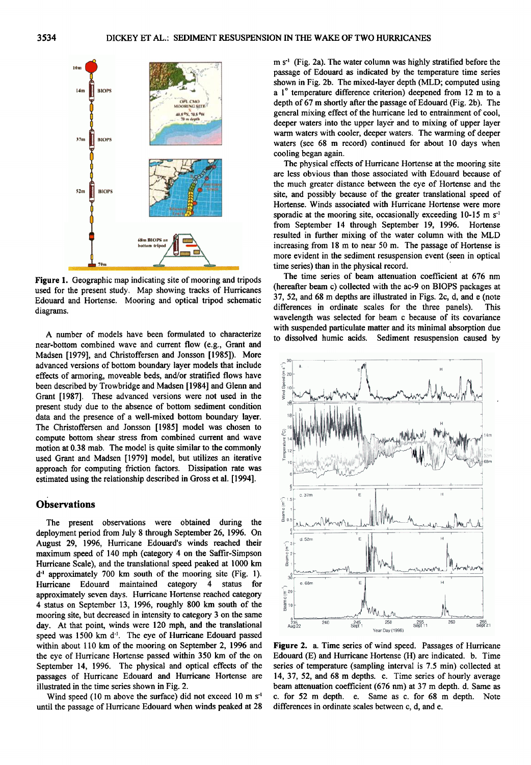

**Figure 1. Geographic map indicating site of mooring and tripods used for the present study. Map showing tracks of Hurricanes Edouard and Hortense. Mooring and optical tripod schematic diagrams.** 

**A number of models have been formulated to characterize near-bottom combined wave and current flow (e.g., Grant and Madsen [1979], and Christoffersen and Jonsson [1985]). More advanced versions of bottom boundary layer models that include effects of armoring, moveable beds, and/or stratified flows have been described by Trowbridge and Madsen [1984] and Glenn and Grant [1987]. These advanced versions were not used in the present study due to the absence of bottom sediment condition data and the presence of a well-mixed bottom boundary layer. The Christoffersen and Jonsson [1985] model was chosen to compute bottom shear stress from combined current and wave motion at 0.38 mab. The model is quite similar to the commonly used Grant and Madsen [1979] model, but utilizes an iterative approach for computing friction factors. Dissipation rate was estimated using the relationship described in Gross et al. [ 1994].** 

## **Observations**

**The present observations were obtained during the deployment period from July 8 through September 26, 1996. On August 29, 1996, Hurricane Edouard's winds reached their maximum speed of 140 mph (category 4 on the Saffir-Simpson Hurricane Scale), and the translational speed peaked at 1000 km**  d<sup>-1</sup> approximately 700 km south of the mooring site (Fig. 1).<br>Hurricane Edouard maintained category 4 status for Hurricane Edouard maintained category **approximately seven days. Hurricane Hortense reached category 4 status on September 13, 1996, roughly 800 km south of the mooring site, but decreased in intensity to category 3 on the same day. At that point, winds were 120 mph, and the translational**  speed was 1500 km d<sup>-1</sup>. The eye of Hurricane Edouard passed **within about 110 km of the mooring on September 2, 1996 and the eye of Hurricane Hortense passed within 350 km of the on September 14, 1996. The physical and optical effects of the passages of Hurricane Edouard and Hurricane Hortense are illustrated in the time series shown in Fig. 2.** 

Wind speed (10 m above the surface) did not exceed 10 m s<sup>-1</sup> **until the passage of Hurricane Edouard when winds peaked at 28**  m s<sup>-1</sup> (Fig. 2a). The water column was highly stratified before the **passage of Edouard as indicated by the temperature time series shown in Fig. 2b. The mixed-layer depth (MLD; computed using a** 1<sup>°</sup> temperature difference criterion) deepened from 12 m to a **depth of 67 m shortly after the passage of Edouard (Fig. 2b). The general mixing effect of the hurricane led to entrainment of cool,**  deeper waters into the upper layer and to mixing of upper layer **warm waters with cooler, deeper waters. The warming of deeper waters (see 68 m record) continued for about 10 days when cooling began again.** 

**The physical effects of Hurricane Hortense at the mooring site are less obvious than those associated with Edouard because of the much greater distance between the eye of Hortense and the site, and possibly because of the greater translational speed of Hortense. Winds associated with Hurricane Hortense were more**  sporadic at the mooring site, occasionally exceeding 10-15 m s<sup>-1</sup> **from September 14 through September 19, 1996. Hortense resulted in further mixing of the water column with the MLD increasing from 18 m to near 50 m. The passage of Hortense is more evident in the sediment resuspension event (seen in optical time series) than in the physical record.** 

**The time series of beam attenuation coefficient at 676 nm (hereafter beam c) collected with the ac-9 on BIOPS packages at 37, 52, and 68 m depths are illustrated in Figs. 2c, d, and e (note**  differences in ordinate scales for the three panels). **wavelength was selected for beam c because of its covariance with suspended particulate matter and its minimal absorption due to dissolved humic acids. Sediment resuspension caused by** 



**Figure 2. a. Time series of wind speed. Passages of Hurricane Edouard (E) and Hurricane Hortense (H) are indicated. b. Time series of temperature (sampling interval is 7 5 min) collected at 14, 37, 52, and 68 m depths. c. Time series of hourly average beam attenuation coefficient (676 nm) at 37 m depth. d. Same as c. for 52 m depth. e. Same as c. for 68 m depth. Note differences in ordinate scales between c, d, and e.**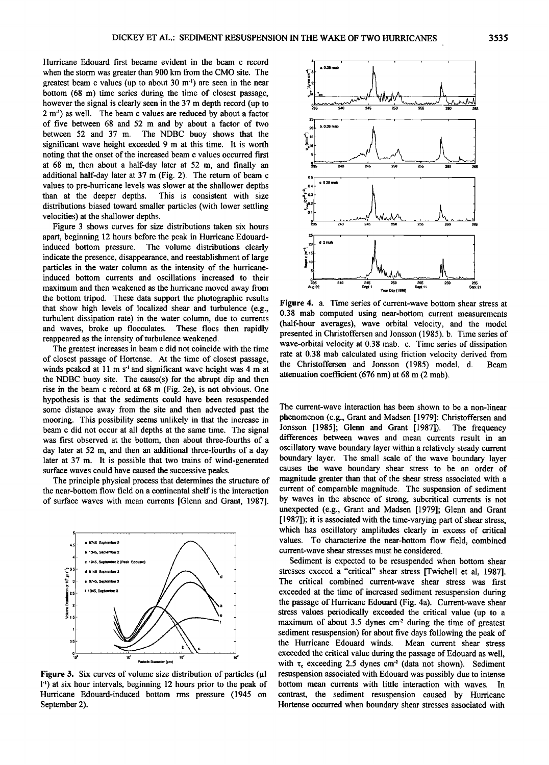**Hurricane Edouard first became evident in the beam c record when the storm was greater than 900 km from the CMO site. The**  greatest beam c values (up to about 30 m<sup>-1</sup>) are seen in the near **bottom (68 m) time series during the time of closest passage, however the signal is clearly seen in the 37 m depth record (up to 2 m '•) as well. The beam c values are reduced by about a factor of five between 68 and 52 m and by about a factor of two between 52 and 37 m. The NDBC buoy shows that the significant wave height exceeded 9 m at this time. It is worth noting that the onset of the increased beam c values occurred first at 68 m, then about a half-day later at 52 m, and finally an additional half-day later at 37 m (Fig. 2). The return of beam c values to pre-hurricane levels was slower at the shallower depths**  This is consistent with size **distributions biased toward smaller particles (with lower settling velocities) at the shallower depths.** 

**Figure 3 shows curves for size distributions taken six hours apart, beginning 12 hours before the peak in Hurricane Edouardinduced in the volume distributions clearly indicate the presence, disappearance, and reestablishment of large particles in the water column as the intensity of the hurricaneinduced bottom currents and oscillations increased to their maximum and then weakened as the hurricane moved away from the bottom tripod. These data support the photographic results that show high levels of localized shear and turbulence (e.g., turbulent dissipation rate) in the water column, due to currents and waves, broke up flocculates. These flocs then rapidly reappeared as the intensity of turbulence weakened.** 

**The greatest increases in beam c did not coincide with the time of closest passage of Hortense. At the time of closest passage,**  winds peaked at 11 m s<sup>-1</sup> and significant wave height was 4 m at **the NDBC buoy site. The cause(s) for the abrupt dip and then**  rise in the beam c record at 68 m (Fig. 2e), is not obvious. One **hypothesis is that the sediments could have been resuspended some distance away from the site and then advected past the mooring. This possibility seems unlikely in that the increase in beam c did not occur at all depths at the same time. The signal was first observed at the bottom, then about three-fourths of a day later at 52 m, and then an additional three-fourths of a day later at 37 m. It is possible that two trains of wind-generated surface waves could have caused the successive peaks.** 

**The principle physical process that determines the structure of the near-bottom flow field on a continental shelf is the interaction of surface waves with mean currents [Glenn and Grant, 1987].** 



Figure 3. Six curves of volume size distribution of particles ( $\mu$ I **1 -•) at six hour intervals, beginning 12 hours prior to the peak of Hurricane Edouard-induced bottom rms pressure (1945 on September 2).** 



**Figure 4. a. Time series of current-wave bottom shear stress at 0.38 mab computed using near-bottom current measurements (half-hour averages), wave orbital velocity, and the model presented in Christoffersen and Jonsson (1985). b. Time series of wave-orbital velocity at 0.38 mab. c. Time series of dissipation rate at 0.38 mab calculated using friction velocity derived from**  the Christoffersen and Jonsson (1985) model. d. **attenuation coefficient (676 nm) at 68 m (2 mab).** 

**The current-wave interaction has been shown to be a non-linear phenomenon (e.g., Grant and Madsen [1979]; Christoffersen and Jonsson [1985]; Glenn and Grant [1987]). The frequency differences between waves and mean currents result in an oscillatory wave boundary layer within a relatively steady current boundary layer. The small scale of the wave boundary layer causes the wave boundary shear stress to be an order of**  magnitude greater than that of the shear stress associated with a **current of comparable magnitude. The suspension of sediment by waves in the absence of strong, subcritical currents is not unexpected (e.g., Grant and Madsen [1979]; Glenn and Grant [ 1987]); it is associated with the time-varying part of shear stress, which has oscillatory amplitudes clearly in excess of critical values. To characterize the near-bottom flow field, combined current-wave shear stresses must be considered.** 

**Sediment is expected to be resuspended when bottom shear stresses exceed a "critical" shear stress [Twichell et al, 1987]. The critical combined current-wave shear stress was first exceeded at the time of increased sediment resuspension during the passage of Hurricane Edouard (Fig. 4a). Current-wave shear stress values periodically exceeded the critical value (up to a**  maximum of about 3.5 dynes cm<sup>-2</sup> during the time of greatest **sediment resuspension) for about five days following the peak of**  the Hurricane Edouard winds. **exceeded the critical value during the passage of Edouard as well,**  with  $\tau_c$  exceeding 2.5 dynes cm<sup>2</sup> (data not shown). Sediment **resuspension associated with Edouard was possibly due to intense**  bottom mean currents with little interaction with waves. **contrast, the sediment resuspension caused by Hurricane Hortense occurred when boundary shear stresses associated with**